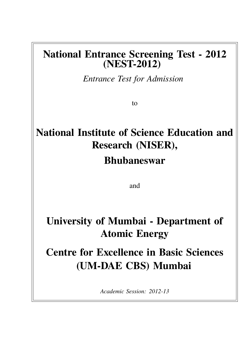# **National Entrance Screening Test - 2012 (NEST-2012)**

*Entrance Test for Admission*

to

# **National Institute of Science Education and Research (NISER), Bhubaneswar**

and

**University of Mumbai - Department of Atomic Energy**

# **Centre for Excellence in Basic Sciences (UM-DAE CBS) Mumbai**

*Academic Session: 2012-13*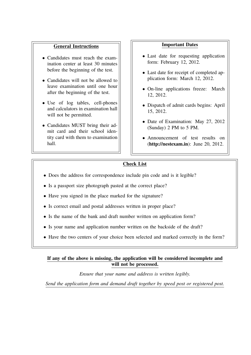#### **General Instructions**

- Candidates must reach the examination center at least 30 minutes before the beginning of the test.
- Candidates will not be allowed to leave examination until one hour after the beginning of the test.
- Use of log tables, cell-phones and calculators in examination hall will not be permitted.
- Candidates MUST bring their admit card and their school identity card with them to examination hall.

#### **Important Dates**

- Last date for requesting application form: February 12, 2012.
- Last date for receipt of completed application form: March 12, 2012.
- On-line applications freeze: March 12, 2012.
- Dispatch of admit cards begins: April 15, 2012.
- Date of Examination: May 27, 2012 (Sunday) 2 PM to 5 PM.
- Announcement of test results on (**http://nestexam.in**): June 20, 2012.

## **Check List**

- Does the address for correspondence include pin code and is it legible?
- Is a passport size photograph pasted at the correct place?
- Have you signed in the place marked for the signature?
- Is correct email and postal addresses written in proper place?
- Is the name of the bank and draft number written on application form?
- Is your name and application number written on the backside of the draft?
- Have the two centers of your choice been selected and marked correctly in the form?

## **If any of the above is missing, the application will be considered incomplete and will not be processed.**

*Ensure that your name and address is written legibly.*

*Send the application form and demand draft together by speed post or registered post.*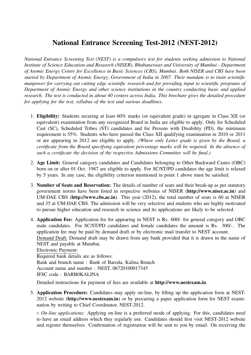# **National Entrance Screening Test-2012 (NEST-2012)**

*National Entrance Screening Test (NEST) is a compulsory test for students seeking admission to National Institute of Science Education and Research (NISER), Bhubaneswar and University of Mumbai - Department of Atomic Energy Centre for Excellence in Basic Sciences (CBS), Mumbai. Both NISER and CBS have been started by Department of Atomic Energy, Government of India in 2007. Their mandate is to train scientific manpower for carrying out cutting edge scientific research and for providing input to scientific programs of Department of Atomic Energy and other science institutions in the country conducting basic and applied research. The test is conducted in about 40 centers across India. This brochure gives the detailed procedure for applying for the test, syllabus of the test and various deadlines.*

- 1. **Eligibility:** Students securing at least 60% marks (or equivalent grade) in agregate in Class XII (or equivalent) examination from any recognized Board in India are eligible to apply. Only for Scheduled Cast (SC), Scheduled Tribes (ST) candidates and for Persons with Disability (PD), the minimum requirement is 55%. Students who have passed the Class XII qualifying examination in 2010 or 2011 or are appearing in 2012 are eligible to apply. *(Where only Letter grade is given by the Board, a certificate from the Board specifying equivalent percentage marks will be required. In the absence of such a certificate the decision of the respective Admissions Committee will be final.)*
- 2. **Age Limit:** General category candidates and Candidates belonging to Other Backward Castes (OBC) born on or after 01 Oct. 1987 are eligible to apply. For SC/ST/PD candidates the age limit is relaxed by 5 years. In any case, the eligibility criterion mentioned in point 1 above must be satisfied.
- 3. **Number of Seats and Reservation:** The details of number of seats and their break-up as per statutory government norms have been listed in respective websites of NISER (**http://www.niser.ac.in**) and UM-DAE CBS (**http://www.cbs.ac.in**). This year (2012), the total number of seats is 60 at NISER and 35 at UM-DAE CBS. The admission will be very selective and students who are highly motivated to pursue higher education and research in science and its applications are likely to be selected.
- 4. **Application Fee:** Application fee for appearing in NEST is Rs. 600/- for general category and OBC male candidates. For SC/ST/PD candidates and female candidates the amount is Rs. 300/-. The application fee may be paid by demand draft or by electronic mail transfer to NEST account. Demand Draft: Demand draft may be drawn from any bank provided that it is drawn in the name of NEST and payable at Mumbai. Electronic Payment: Required bank details are as follows: Bank and branch name : Bank of Baroda, Kalina Branch Account name and number : NEST, 06720100017345 IFSC code : BARB0KALINA

Detailed instructions for payment of fees are available at **http://www.nestexam.in**.

5. **Application Procedure:** Candidates may apply on-line, by filling up the application form at NEST-2012 website (**http://www.nestexam.in**) or by procuring a paper application form for NEST examination by writing to Chief Coordinator, NEST-2012.

◦ *On-line applications:* Applying on-line is a preferred mode of applying. For this, candidates need to have an email address which they regularly use. Candidates should first visit NEST-2012 website and register themselves. Confirmation of registration will be sent to you by email. On receiving the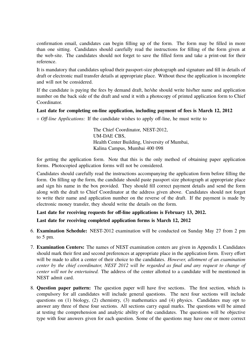confirmation email, candidates can begin filling up of the form. The form may be filled in more than one sitting. Candidates should carefully read the instructions for filling of the form given at the web-site. The candidates should not forget to save the filled form and take a print-out for their reference.

It is mandatory that candidates upload their passport-size photograph and signature and fill in details of draft or electronic mail transfer details at appropriate place. Without these the application is incomplete and will not be considered.

If the candidate is paying the fees by demand draft, he/she should write his/her name and application number on the back side of the draft and send it with a photocopy of printed application form to Chief Coordinator.

#### **Last date for completing on-line application, including payment of fees is March 12, 2012**

◦ *Off-line Applications:* If the candidate wishes to apply off-line, he must write to

The Chief Coordinator, NEST-2012, UM-DAE CBS, Health Center Building, University of Mumbai, Kalina Campus, Mumbai 400 098

for getting the application form. Note that this is the only method of obtaining paper application forms. Photocopied application forms will not be considered.

Candidates should carefully read the instructions accompanying the application form before filling the form. On filling up the form, the candidate should paste passport size photograph at appropriate place and sign his name in the box provided. They should fill correct payment details and send the form along with the draft to Chief Coordinator at the address given above. Candidates should not forget to write their name and application number on the reverse of the draft. If the payment is made by electronic money transfer, they should write the details on the form.

**Last date for receiving requests for off-line applications is February 13, 2012.**

**Last date for receiving completed application forms is March 12, 2012**

- 6. **Examination Schedule:** NEST-2012 examination will be conducted on Sunday May 27 from 2 pm to 5 pm.
- 7. **Examination Centers:** The names of NEST examination centers are given in Appendix I. Candidates should mark their first and second preferences at appropriate place in the application form. Every effort will be made to allot a center of their choice to the candidates. *However, allotment of an examination center by the chief coordinator, NEST 2012 will be regarded as final and any request to change of center will not be entertained.* The address of the center allotted to a candidate will be mentioned in NEST admit card.
- 8. **Question paper pattern:** The question paper will have five sections. The first section, which is compulsory for all candidates will include general questions. The next four sections will include questions on (1) biology, (2) chemistry, (3) mathematics and (4) physics. Candidates may opt to answer any three of these four sections. All sections carry equal marks. The questions will be aimed at testing the comprehension and analytic ability of the candidates. The questions will be objective type with four answers given for each question. Some of the questions may have one or more correct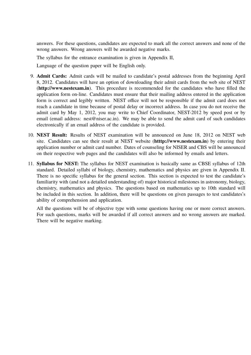answers. For these questions, candidates are expected to mark all the correct answers and none of the wrong answers. Wrong answers will be awarded negative marks.

The syllabus for the entrance examination is given in Appendix II,

Language of the question paper will be English only.

- 9. **Admit Cards:** Admit cards will be mailed to candidate's postal addresses from the beginning April 8, 2012. Candidates will have an option of downloading their admit cards from the web site of NEST (**http://www.nestexam.in**). This procedure is recommended for the candidates who have filled the application form on-line. Candidates must ensure that their mailing address entered in the application form is correct and legibly written. NEST office will not be responsible if the admit card does not reach a candidate in time because of postal delay or incorrect address. In case you do not receive the admit card by May 1, 2012, you may write to Chief Coordinator, NEST-2012 by speed post or by email (email address: nest@niser.ac.in). We may be able to send the admit card of such candidates electronically if an email address of the candidate is provided.
- 10. **NEST Result:** Results of NEST examination will be announced on June 18, 2012 on NEST web site. Candidates can see their result at NEST website (**htttp://www.nestexam.in**) by entering their application number or admit card number. Dates of counseling for NISER and CBS will be announced on their respective web pages and the candidates will also be informed by emails and letters.
- 11. **Syllabus for NEST:** The syllabus for NEST examination is basically same as CBSE syllabus of 12th standard. Detailed syllabi of biology, chemistry, mathematics and physics are given in Appendix II. There is no specific syllabus for the general section. This section is expected to test the candidate's familiarity with (and not a detailed understanding of) major historical milestones in astronomy, biology, chemistry, mathematics and physics. The questions based on mathematics up to 10th standard will be included in this section. In addition, there will be questions on given passages to test candidates's ability of comprehension and application.

All the questions will be of objective type with some questions having one or more correct answers. For such questions, marks will be awarded if all correct answers and no wrong answers are marked. There will be negative marking.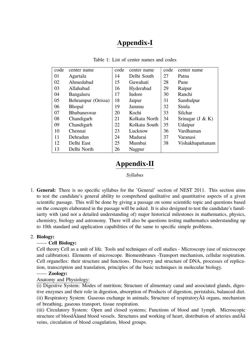# **Appendix-I**

| code | center name        | code | center name   | code | center name        |
|------|--------------------|------|---------------|------|--------------------|
| 01   | Agartala           | 14   | Delhi South   | 27   | Patna              |
| 02   | Ahmedabad          | 15   | Guwahati      | 28   | Pune               |
| 03   | Allahabad          | 16   | Hyderabad     | 29   | Raipur             |
| 04   | Bangaluru          | 17   | Indore        | 30   | Ranchi             |
| 05   | Behrampur (Orissa) | 18   | Jaipur        | 31   | Sambalpur          |
| 06   | <b>Bhopal</b>      | 19   | Jammu         | 32   | Simla              |
| 07   | <b>Bhubaneswar</b> | 20   | Kochi         | 33   | Silchar            |
| 08   | Chandigarh         | 21   | Kolkata North | 34   | Srinagar $(J & K)$ |
| 09   | Chandigarh         | 22   | Kolkata South | 35   | Udaipur            |
| 10   | Chennai            | 23   | Lucknow       | 36   | Vardhaman          |
| 11   | Dehradun           | 24   | Madurai       | 37   | Varanasi           |
| 12   | Delhi East         | 25   | Mumbai        | 38   | Vishakhapattanam   |
| 13   | Delhi North        | 26   | Nagpur        |      |                    |

Table 1: List of center names and codes

# **Appendix-II**

#### *Syllabus*

1. **General:** There is no specific syllabus for the 'General' section of NEST 2011. This section aims to test the candidate's general ability to comprehend qualitative and quantitative aspects of a given scientific passage. This will be done by giving a passage on some scientific topic and questions based on the concepts elaborated in the passage will be asked. It is also designed to test the candidate's familiarity with (and not a detailed understanding of) major historical milestones in mathematics, physics, chemistry, biology and astronomy. There will also be questions testing mathematics understanding up to 10th standard and application capabilities of the same to specific simple problems.

#### 2. **Biology:**

#### —— **Cell Biology:**

Cell theory Cell as a unit of life. Tools and techniques of cell studies - Microscopy (use of microscope and calibration). Elements of microscope. Biomembranes -Transport mechanism, cellular respiration. Cell organelles: their structure and functions. Discovery and structure of DNA, processes of replication, transcription and translation, principles of the basic techniques in molecular biology.

## —— **Zoology:**

# Anatomy and Physiology:

(i) Digestive System: Modes of nutrition; Structure of alimentary canal and associated glands, digestive enzymes and their role in digestion, absorption of Products of digestion, peristalsis, balanced diet. (ii) Respiratory System: Gaseous exchange in animals; Structure of respiratoryÂă organs, mechanism of breathing, gaseous transport, tissue respiration.

(iii) Circulatory System: Open and closed systems; Functions of blood and 1ymph. Microscopic structure of bloodÂăand blood vessels. Structures and working of heart, distribution of arteries andÂă veins, circulation of blood coagulation, blood groups.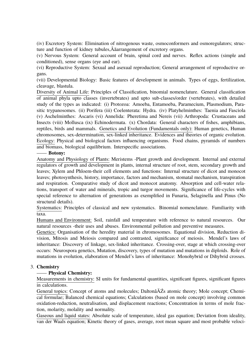(iv) Excretory System: Elimination of nitrogenous waste, osmoconformers and osmoregulators; structure and function of kidney tubules,Âăarrangement of excretory organs.

(v) Nervous System: General account of brain, spinal cord and nerves. Reflex actions (simple and conditioned), sense organs (eye and ear).

(vi) Reproductive System: Sexual and asexual reproduction; General arrangement of reproductive organs.

(vii) Developmental Biology: Basic features of development in animals. Types of eggs, fertilization, cleavage, blastula.

Diversity of Animal Life: Principles of Classification, binomial nomenclature. General classification of animal phyla upto classes (invertebrates) and upto sub-classes/order (vertebrates), with detailed study of the types as indicated: (i) Protozoa: Amoeba, Entamoeba, Paramecium, Plasmodium, Parasitic trypanosomes. (ii) Porifera (iii) Coelenterata: Hydra. (iv) Platyhelminthes: Taenia and Fasciola (v) Aschelminthes: Ascaris (vi) Annelida: Pheretima and Nereis (vii) Arthropoda: Crustaceans and Insects (viii) Mollusca (ix) Echinodermata. (x) Chordata: General characters of fishes, amphibians, reptiles, birds and mammals. Genetics and Evolution (Fundamentals only): Human genetics, Human chromosomes, sex-determination, sex-linked inheritance. Evidences and theories of organic evolution. Ecology: Physical and biological factors influencing organisms. Food chains, pyramids of numbers and biomass, biological equilibrium. Interspecific associations.

#### —— **Botony:**

Anatomy and Physiology of Plants: Meristems -Plant growth and development. Internal and external regulators of growth and development in plants, internal structure of root, stem, secondary growth and leaves; Xylem and Phloem-their cell elements and functions: Internal structure of dicot and monocot leaves; photosynthesis, history, importance, factors and mechanism, stomatal mechanism, transpiration and respiration. Comparative study of dicot and monocot anatomy. Absorption and cell-water relations, transport of water and minerals, tropic and turgor movements. Significance of life-cycles with special reference to alternation of generations as exemplified in Funaria, Selaginella and Pinus (No structural details).

Systematics: Principles of classical and new systematics. Binomial nomenclature. Familiarity with taxa.

Humans and Environment: Soil, rainfall and temperature with reference to natural resources. Our natural resources -their uses and abuses. Environmental pollution and preventive measures.

Genetics: Organisation of the heredity material in chromosomes. Equational division, Reduction division, Mitosis and Meiosis compared and contrasted, significance of meiosis. Mendel's laws of inheritance: Discovery of linkage, sex-linked inheritance. Crossing-over, stage at which crossing-over occurs: Neurospora genetics, Mutation, discovery, types of mutation and mutations in diploids. Role of mutations in evolution, elaboration of Mendel's laws of inheritance: Monohybrid or Dihybrid crosses.

#### 3. **Chemistry**

#### —— **Physical Chemistry:**

Measurements in chemistry: SI units for fundamental quantities, significant figures, significant figures in calculations.

General topics: Concept of atoms and molecules; DaltonâĂŹs atomic theory; Mole concept; Chemical formulae; Balanced chemical equations; Calculations (based on mole concept) involving common oxidation-reduction, neutralisation, and displacement reactions; Concentration in terms of mole fraction, molarity, molality and normality.

Gaseous and liquid states: Absolute scale of temperature, ideal gas equation; Deviation from ideality, van der Waals equation; Kinetic theory of gases, average, root mean square and most probable veloci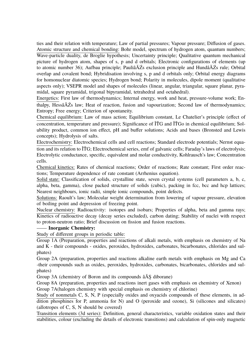ties and their relation with temperature; Law of partial pressures; Vapour pressure; Diffusion of gases. Atomic structure and chemical bonding: Bohr model, spectrum of hydrogen atom, quantum numbers; Wave-particle duality, de Broglie hypothesis; Uncertainty principle; Qualitative quantum mechanical picture of hydrogen atom, shapes of s, p and d orbitals; Electronic configurations of elements (up to atomic number 36); Aufbau principle; PauliâĂŹs exclusion principle and HundâĂŹs rule; Orbital overlap and covalent bond; Hybridisation involving s, p and d orbitals only; Orbital energy diagrams for homonuclear diatomic species; Hydrogen bond; Polarity in molecules, dipole moment (qualitative aspects only); VSEPR model and shapes of molecules (linear, angular, triangular, square planar, pyramidal, square pyramidal, trigonal bipyramidal, tetrahedral and octahedral).

Energetics: First law of thermodynamics; Internal energy, work and heat, pressure-volume work; Enthalpy, HessâĂŹs law; Heat of reaction, fusion and vapourization; Second law of thermodynamics; Entropy; Free energy; Criterion of spontaneity.

Chemical equilibrium: Law of mass action; Equilibrium constant, Le Chatelier's principle (effect of concentration, temperature and pressure); Significance of ÎŤG and ÎŤGo in chemical equilibrium; Solubility product, common ion effect, pH and buffer solutions; Acids and bases (Bronsted and Lewis concepts); Hydrolysis of salts.

Electrochemistry: Electrochemical cells and cell reactions; Standard electrode potentials; Nernst equation and its relation to ÎŤG; Electrochemical series, emf of galvanic cells; Faraday's laws of electrolysis; Electrolytic conductance, specific, equivalent and molar conductivity, Kohlrausch's law; Concentration cells.

Chemical kinetics: Rates of chemical reactions; Order of reactions; Rate constant; First order reactions; Temperature dependence of rate constant (Arrhenius equation).

Solid state: Classification of solids, crystalline state, seven crystal systems (cell parameters a, b, c, alpha, beta, gamma), close packed structure of solids (cubic), packing in fcc, bcc and hcp lattices; Nearest neighbours, ionic radii, simple ionic compounds, point defects.

Solutions: Raoult's law; Molecular weight determination from lowering of vapour pressure, elevation of boiling point and depression of freezing point.

Nuclear chemistry: Radioactivity: isotopes and isobars; Properties of alpha, beta and gamma rays; Kinetics of radioactive decay (decay series excluded), carbon dating; Stability of nuclei with respect to proton-neutron ratio; Brief discussion on fission and fusion reactions.

#### —— **Inorganic Chemistry:**

Study of different groups in periodic table:

Group 1A (Preparation, properties and reactions of alkali metals, with emphasis on chemistry of Na and K - their compounds - oxides, peroxides, hydroxides, carbonates, bicarbonates, chlorides and sulphates)

Group 2A (preparation, properties and reactions alkaline earth metals with emphasis on Mg and Ca -their compounds such as oxides, peroxides, hydroxides, carbonates, bicarbonates, chlorides and sulphates)

Group 3A (chemistry of Boron and its compounds âĂŞ diborane)

Group 8A (preparation, properties and reactions inert gases with emphasis on chemistry of Xenon) Group 7A(halogen chemistry with special emphasis on chemistry of chlorine)

Study of nonmetals C, S, N, P (especially oxides and oxyacids compounds of these elements, in addition phosphines for P, ammonia for N) and O (peroxide and ozone), Si (silicones and silicates) (allotropes of C, S, N should be covered)

Transition elements (3d series): Definition, general characteristics, variable oxidation states and their stabilities, colour (excluding the details of electronic transitions) and calculation of spin-only magnetic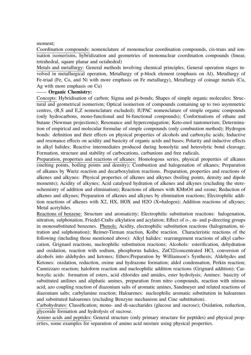#### moment;

Coordination compounds: nomenclature of mononuclear coordination compounds, cis-trans and ionisation isomerisms, hybridization and geometries of mononuclear coordination compounds (linear, tetrahedral, square planar and octahedral)

Metals and metallurgy: General methods involving chemical principles, General operation stages involved in metallurgical operation, Metallurgy of p-block element (emphasis on Al), Metallurgy of Fe-triad (Fe, Co, and Ni with more emphasis on Fe metallurgy), Metallurgy of coinage metals (Cu, Ag with more emphasis on Cu)

#### —— **Organic Chemistry:**

Concepts: Hybridisation of carbon; Sigma and pi-bonds; Shapes of simple organic molecules; Structural and geometrical isomerism; Optical isomerism of compounds containing up to two asymmetric centres, (R,S and E,Z nomenclature excluded); IUPAC nomenclature of simple organic compounds (only hydrocarbons, mono-functional and bi-functional compounds); Conformations of ethane and butane (Newman projections); Resonance and hyperconjugation; Keto-enol tautomerism; Determination of empirical and molecular formulae of simple compounds (only combustion method); Hydrogen bonds: definition and their effects on physical properties of alcohols and carboxylic acids; Inductive and resonance effects on acidity and basicity of organic acids and bases; Polarity and inductive effects in alkyl halides; Reactive intermediates produced during homolytic and heterolytic bond cleavage; Formation, structure and stability of carbocations, carbanions and free radicals.

Preparation, properties and reactions of alkanes: Homologous series, physical properties of alkanes (melting points, boiling points and density); Combustion and halogenation of alkanes; Preparation of alkanes by Wurtz reaction and decarboxylation reactions. Preparation, properties and reactions of alkenes and alkynes: Physical properties of alkenes and alkynes (boiling points, density and dipole moments); Acidity of alkynes; Acid catalysed hydration of alkenes and alkynes (excluding the stereochemistry of addition and elimination); Reactions of alkenes with KMnO4 and ozone; Reduction of alkenes and alkynes; Preparation of alkenes and alkynes by elimination reactions; Electrophilic addition reactions of alkenes with X2, HX, HOX and H2O (X=halogen); Addition reactions of alkynes; Metal acetylides.

Reactions of benzene: Structure and aromaticity; Electrophilic substitution reactions: halogenation, nitration, sulphonation, Friedel-Crafts alkylation and acylation; Effect of o-, m- and p-directing groups in monosubstituted benzenes. Phenols: Acidity, electrophilic substitution reactions (halogenation, nitration and sulphonation); Reimer-Tieman reaction, Kolbe reaction. Characteristic reactions of the following (including those mentioned above): Alkyl halides: rearrangement reactions of alkyl carbocation, Grignard reactions, nucleophilic substitution reactions; Alcohols: esterification, dehydration and oxidation, reaction with sodium, phosphorus halides, ZnCl2/concentrated HCl, conversion of alcohols into aldehydes and ketones; Ethers:Preparation by Williamson's Synthesis; Aldehydes and Ketones: oxidation, reduction, oxime and hydrazone formation; aldol condensation, Perkin reaction; Cannizzaro reaction; haloform reaction and nucleophilic addition reactions (Grignard addition); Carboxylic acids: formation of esters, acid chlorides and amides, ester hydrolysis; Amines: basicity of substituted anilines and aliphatic amines, preparation from nitro compounds, reaction with nitrous acid, azo coupling reaction of diazonium salts of aromatic amines, Sandmeyer and related reactions of diazonium salts; carbylamine reaction; Haloarenes: nucleophilic aromatic substitution in haloarenes and substituted haloarenes (excluding Benzyne mechanism and Cine substitution).

Carbohydrates: Classification; mono- and di-saccharides (glucose and sucrose); Oxidation, reduction, glycoside formation and hydrolysis of sucrose.

Amino acids and peptides: General structure (only primary structure for peptides) and physical properties, some examples for separation of amino acid mixture using physical properties.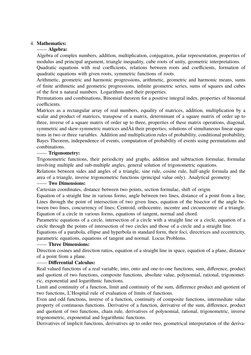#### 4. **Mathematics:**

#### —— **Algebra:**

Algebra of complex numbers, addition, multiplication, conjugation, polar representation, properties of modulus and principal argument, triangle inequality, cube roots of unity, geometric interpretations.

Quadratic equations with real coefficients, relations between roots and coefficients, formation of quadratic equations with given roots, symmetric functions of roots.

Arithmetic, geometric and harmonic progressions, arithmetic, geometric and harmonic means, sums of finite arithmetic and geometric progressions, infinite geometric series, sums of squares and cubes of the first n natural numbers. Logarithms and their properties.

Permutations and combinations, Binomial theorem for a positive integral index, properties of binomial coefficients.

Matrices as a rectangular array of real numbers, equality of matrices, addition, multiplication by a scalar and product of matrices, transpose of a matrix, determinant of a square matrix of order up to three, inverse of a square matrix of order up to three, properties of these matrix operations, diagonal, symmetric and skew-symmetric matrices andÂă their properties, solutions of simultaneous linear equations in two or three variables. Addition and multiplication rules of probability, conditional probability, Bayes Theorem, independence of events, computation of probability of events using permutations and combinations.

#### —— **Trigonometry:**

Trigonometric functions, their periodicity and graphs, addition and subtraction formulae, formulae involving multiple and sub-multiple angles, general solution of trigonometric equations.

Relations between sides and angles of a triangle, sine rule, cosine rule, half-angle formula and the area of a triangle, inverse trigonometric functions (principal value only). Analytical geometry:

## —— **Two Dimensions:**

Cartesian coordinates, distance between two points, section formulae, shift of origin.

Equation of a straight line in various forms, angle between two lines, distance of a point from a line; Lines through the point of intersection of two given lines, equation of the bisector of the angle between two lines, concurrency of lines; Centroid, orthocentre, incentre and circumcentre of a triangle. Equation of a circle in various forms, equations of tangent, normal and chord.

Parametric equations of a circle, intersection of a circle with a straight line or a circle, equation of a circle through the points of intersection of two circles and those of a circle and a straight line.

Equations of a parabola, ellipse and hyperbola in standard form, their foci, directrices and eccentricity, parametric equations, equations of tangent and normal. Locus Problems.

#### —— **Three Dimensions:**

Direction cosines and direction ratios, equation of a straight line in space, equation of a plane, distance of a point from a plane.

#### —— **Differential Calculus:**

Real valued functions of a real variable, into, onto and one-to-one functions, sum, difference, product and quotient of two functions, composite functions, absolute value, polynomial, rational, trigonometric, exponential and logarithmic functions.

Limit and continuity of a function, limit and continuity of the sum, difference product and quotient of two functions, L'Hospital rule of evaluation of limits of functions.

Even and odd functions, inverse of a function, continuity of composite functions, intermediate value property of continuous functions. Derivative of a function, derivative of the sum, difference, product and quotient of two functions, chain rule, derivatives of polynomial, rational, trigonometric, inverse trigonometric, exponential and logarithmic functions.

Derivatives of implicit functions, derivatives up to order two, geometrical interpretation of the deriva-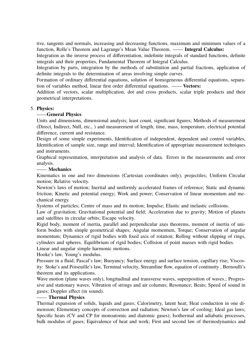tive, tangents and normals, increasing and decreasing functions, maximum and minimum values of a function, Rolle's Theorem and Lagrange's Mean Value Theorem. —— **Integral Calculus:**

Integration as the inverse process of differentiation, indefinite integrals of standard functions, definite integrals and their properties, Fundamental Theorem of Integral Calculus.

Integration by parts, integration by the methods of substitution and partial fractions, application of definite integrals to the determination of areas involving simple curves.

Formation of ordinary differential equations, solution of homogeneous differential equations, separation of variables method, linear first order differential equations. —— **Vectors:**

Addition of vectors, scalar multiplication, dot and cross products, scalar triple products and their geometrical interpretations.

#### 5. **Physics:**

#### ——**General Physics**

Units and dimensions, dimensional analysis; least count, significant figures; Methods of measurement (Direct, Indirect, Null, etc., ) and measurement of length, time, mass, temperature, electrical potential difference, current and resistance.

Design of some simple experiments, Identification of independent, dependent and control variables, Identification of sample size, range and interval; Identification of appropriate measurement techniques and instruments.

Graphical representation, interpretation and analysis of data. Errors in the measurements and error analysis.

#### —— **Mechanics**

Kinematics in one and two dimensions (Cartesian coordinates only), projectiles; Uniform Circular motion; Relative velocity.

Newton's laws of motion; Inertial and uniformly accelerated frames of reference; Static and dynamic friction; Kinetic and potential energy; Work and power; Conservation of linear momentum and mechanical energy.

Systems of particles; Centre of mass and its motion; Impulse; Elastic and inelastic collisions.

Law of gravitation; Gravitational potential and field; Acceleration due to gravity; Motion of planets and satellites in circular orbits; Escape velocity.

Rigid body, moment of inertia, parallel and perpendicular axes theorems, moment of inertia of uniform bodies with simple geometrical shapes; Angular momentum, Torque; Conservation of angular momentum; Dynamics of rigid bodies with fixed axis of rotation; Rolling without slipping of rings, cylinders and spheres. Equilibrium of rigid bodies; Collision of point masses with rigid bodies. Linear and angular simple harmonic motions.

Hooke's law, Young's modulus.

Pressure in a fluid; Pascal's law; Buoyancy; Surface energy and surface tension, capillary rise; Viscosity: Stoke's and Poiseuille's law, Terminal velocity, Streamline flow, equation of continuity , Bernoulli's theorem and its applications.

Wave motion (plane waves only), longitudinal and transverse waves, superposition of waves.; Progressive and stationary waves; Vibration of strings and air columns; Resonance; Beats; Speed of sound in gases; Doppler effect (in sound).

## —— **Thermal Physics**

Thermal expansion of solids, liquids and gases; Calorimetry, latent heat; Heat conduction in one dimension; Elementary concepts of convection and radiation; Newton's law of cooling; Ideal gas laws; Specific heats (CV and CP for monoatomic and diatomic gases); Isothermal and adiabatic processes, bulk modulus of gases; Equivalence of heat and work; First and second law of thermodynamics and